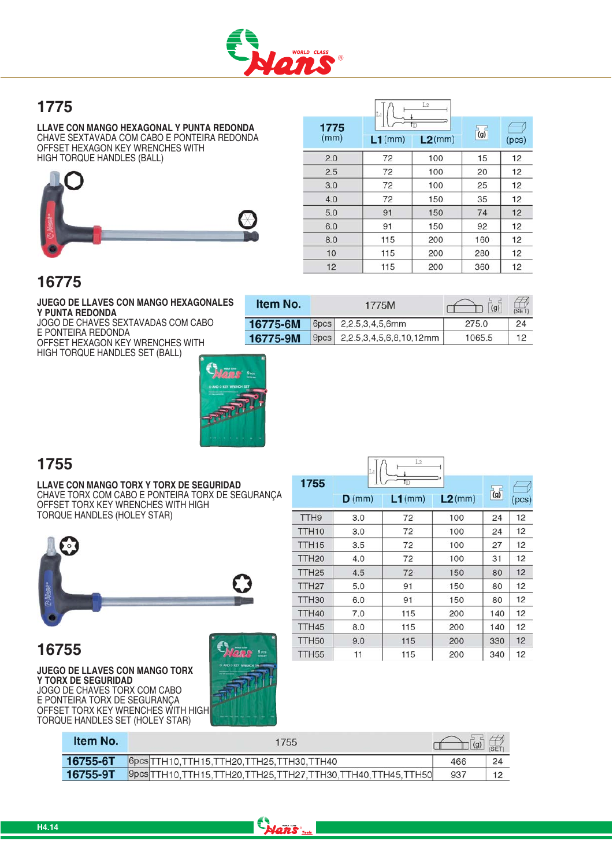

Item No.

6pcs

9pcs

16775-6M

16775-9M

### 1775

LLAVE CON MANGO HEXAGONAL Y PUNTA REDONDA<br>CHAVE SEXTAVADA COM CABO E PONTEIRA REDONDA OFFSET HEXAGON KEY WRENCHES WITH HIGH TORQUE HANDLES (BALL)



|              | Li        | LG.                   |     |       |
|--------------|-----------|-----------------------|-----|-------|
| 1775<br>(mm) |           | $\overline{\text{D}}$ |     |       |
|              | $L1$ (mm) | $L2$ (mm)             | (g) | (pcs) |
| 2.0          | 72        | 100                   | 15  | 12    |
| 2.5          | 72        | 100                   | 20  | 12    |
| 3.0          | 72        | 100                   | 25  | 12    |
| 4.0          | 72        | 150                   | 35  | 12    |
| 5.0          | 91        | 150                   | 74  | 12    |
| 6.0          | 91        | 150                   | 92  | 12    |
| 8.0          | 115       | 200                   | 160 | 12    |
| 10           | 115       | 200                   | 280 | 12    |
| 12           | 115       | 200                   | 360 | 12    |

CÍ

 $\mathcal{A}_{\text{SED}}$ 

24

 $12$ 

 $\Box$  (g)

275.0

1065.5

 $-\frac{1}{2}$ 

1775M

2,2.5,3,4,5,6,8,10,12mm

2.2.5.3.4.5.6mm

### 16775

JUEGO DE LLAVES CON MANGO HEXAGONALES Y PUNTA REDONDA

JOGO DE CHAVES SEXTAVADAS COM CABO E PONTEIRA REDONDA OFFSET HEXAGON KEY WRENCHES WITH HIGH TORQUE HANDLES SET (BALL)



### 1755

LLAVE CON MANGO TORX Y TORX DE SEGURIDAD CHAVE TORX COM CABO E PONTEIRA TORX DE SEGURANÇA OFFSET TORX KEY WRENCHES WITH HIGH TORQUE HANDLES (HOLEY STAR)



### 16755

**JUEGO DE LLAVES CON MANGO TORX** Y TORX DE SEGURIDAD JOGO DE CHAVES TORX COM CABO E PONTEIRA TORX DE SEGURANÇA OFFSET TORX KEY WRENCHES WITH HIGH TORQUE HANDLES SET (HOLEY STAR)



|                   | Lı       | L2                    |           |                  |       |
|-------------------|----------|-----------------------|-----------|------------------|-------|
| 1755              |          | $\overline{\text{1}}$ |           |                  |       |
|                   | $D$ (mm) | $L1$ (mm)             | $L2$ (mm) | $\overline{(g)}$ | (pcs) |
| TTH <sub>9</sub>  | 3.0      | 72                    | 100       | 24               | 12    |
| TTH <sub>10</sub> | 3.0      | 72                    | 100       | 24               | 12    |
| TTH <sub>15</sub> | 3.5      | 72                    | 100       | 27               | 12    |
| TTH <sub>20</sub> | 4.0      | 72                    | 100       | 31               | 12    |
| TTH <sub>25</sub> | 4.5      | 72                    | 150       | 80               | 12    |
| TTH <sub>27</sub> | 5.0      | 91                    | 150       | 80               | 12    |
| TTH <sub>30</sub> | 6.0      | 91                    | 150       | 80               | 12    |
| TTH40             | 7.0      | 115                   | 200       | 140              | 12    |
| TTH45             | 8.0      | 115                   | 200       | 140              | 12    |
| <b>TTH50</b>      | 9.0      | 115                   | 200       | 330              | 12    |
| TTH <sub>55</sub> | 11       | 115                   | 200       | 340              | 12    |

| <b>Item No.</b> | 1755                                                               | $\left  \right $ (g) | (SET) |
|-----------------|--------------------------------------------------------------------|----------------------|-------|
| 16755-6T        | 6pcs TTH10, TTH15, TTH20, TTH25, TTH30, TTH40                      | 466                  | 24    |
| 16755-9T        | Ppcs TTH10, TTH15, TTH20, TTH25, TTH27, TTH30, TTH40, TTH45, TTH50 | 937                  |       |

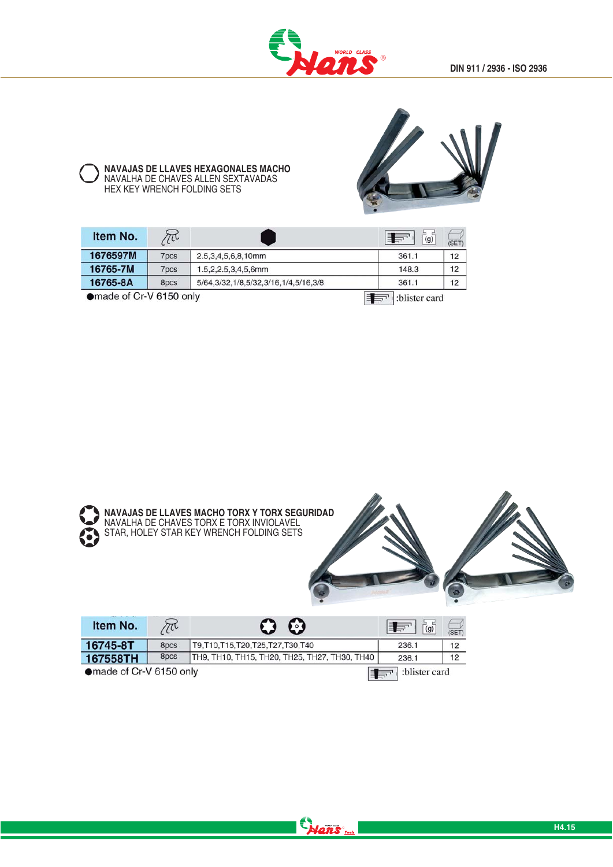

### NAVAJAS DE LLAVES HEXAGONALES MACHO<br>NAVALHA DE CHAVES ALLEN SEXTAVADAS<br>HEX KEY WRENCH FOLDING SETS



| Item No.                | $\mathcal{C}^{\mathsf{L}}$ |                                             | $\vec{a}$<br>E ST | (SET) |
|-------------------------|----------------------------|---------------------------------------------|-------------------|-------|
| 1676597M                | 7pcs                       | 2.5.3.4.5.6.8.10mm                          | 361.1             | 12    |
| 16765-7M                | 7pcs                       | $1.5, 2, 2.5, 3, 4, 5, 6$ mm                | 148.3             | 12    |
| 16765-8A                | 8pcs                       | 5/64, 3/32, 1/8, 5/32, 3/16, 1/4, 5/16, 3/8 | 361.1             | 12    |
| ●made of Cr-V 6150 only |                            |                                             | :blister card     |       |



Hans ...

| Item No.                | $\sim$           | 9                                             | (q)           | (SET) |
|-------------------------|------------------|-----------------------------------------------|---------------|-------|
| 16745-8T                | 8 <sub>pcs</sub> | T9, T10, T15, T20, T25, T27, T30, T40         | 236.1         | 12    |
| 167558TH                | 8pcs             | TH9, TH10, TH15, TH20, TH25, TH27, TH30, TH40 | 236.1         | 12    |
| ●made of Cr-V 6150 only |                  |                                               | :blister card |       |

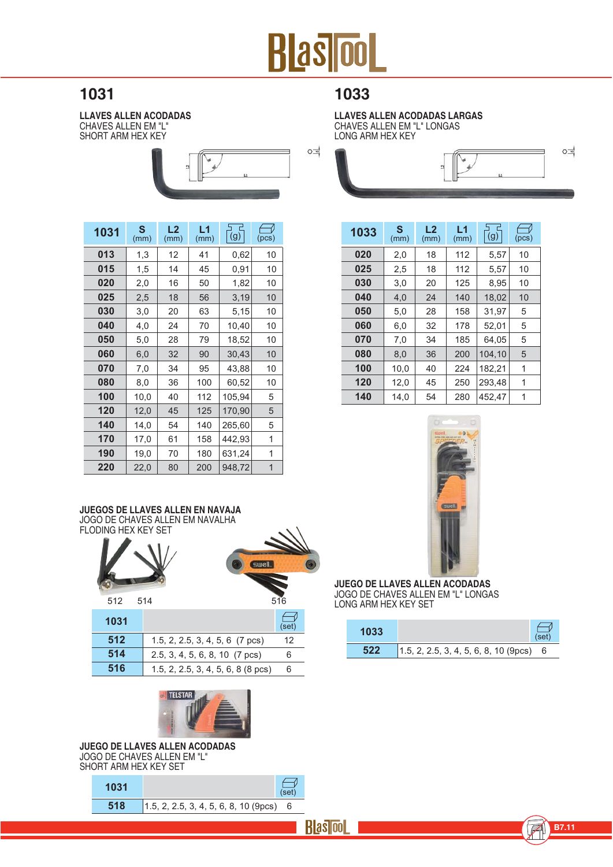

#### 1031

LLAVES ALLEN ACODADAS<br>CHAVES ALLEN EM "L" SHORT ARM HEX KEY



| 1031 | S<br>(mm) | L <sub>2</sub><br>(mm) | L1<br>(mm) | (g)    | (pcs)          |
|------|-----------|------------------------|------------|--------|----------------|
| 013  | 1,3       | 12                     | 41         | 0,62   | 10             |
| 015  | 1,5       | 14                     | 45         | 0,91   | 10             |
| 020  | 2,0       | 16                     | 50         | 1,82   | 10             |
| 025  | 2,5       | 18                     | 56         | 3,19   | 10             |
| 030  | 3,0       | 20                     | 63         | 5,15   | 10             |
| 040  | 4,0       | 24                     | 70         | 10,40  | 10             |
| 050  | 5,0       | 28                     | 79         | 18,52  | 10             |
| 060  | 6,0       | 32                     | 90         | 30,43  | 10             |
| 070  | 7,0       | 34                     | 95         | 43,88  | 10             |
| 080  | 8,0       | 36                     | 100        | 60,52  | 10             |
| 100  | 10,0      | 40                     | 112        | 105,94 | 5              |
| 120  | 12,0      | 45                     | 125        | 170,90 | 5              |
| 140  | 14,0      | 54                     | 140        | 265,60 | 5              |
| 170  | 17,0      | 61                     | 158        | 442,93 | 1              |
| 190  | 19,0      | 70                     | 180        | 631,24 | 1              |
| 220  | 22,0      | 80                     | 200        | 948,72 | $\overline{1}$ |

### JUEGOS DE LLAVES ALLEN EN NAVAJA<br>JOGO DE CHAVES ALLEN EM NAVALHA



| 512 | $1.5, 2, 2.5, 3, 4, 5, 6$ (7 pcs)    | 12 |
|-----|--------------------------------------|----|
| 514 | 2.5, 3, 4, 5, 6, 8, 10 (7 pcs)       | 6  |
| 516 | $1.5, 2, 2.5, 3, 4, 5, 6, 8$ (8 pcs) |    |



#### JUEGO DE LLAVES ALLEN ACODADAS JOGO DE CHAVES ALLEN EM "L" SHORT ARM HEX KEY SET

1031

| 518 |  |  |  |  | $1.5, 2, 2.5, 3, 4, 5, 6, 8, 10 (9pcs)$ |  |
|-----|--|--|--|--|-----------------------------------------|--|

LLAVES ALLEN ACODADAS LARGAS<br>CHAVES ALLEN EM "L" LONGAS LONG ARM HEX KEY



| 1033 | S<br>(mm) | L <sub>2</sub><br>(mm) | L1<br>(mm) | (g)    | (pcs) |
|------|-----------|------------------------|------------|--------|-------|
| 020  | 2,0       | 18                     | 112        | 5,57   | 10    |
| 025  | 2,5       | 18                     | 112        | 5,57   | 10    |
| 030  | 3,0       | 20                     | 125        | 8,95   | 10    |
| 040  | 4,0       | 24                     | 140        | 18,02  | 10    |
| 050  | 5,0       | 28                     | 158        | 31.97  | 5     |
| 060  | 6,0       | 32                     | 178        | 52.01  | 5     |
| 070  | 7,0       | 34                     | 185        | 64.05  | 5     |
| 080  | 8.0       | 36                     | 200        | 104.10 | 5     |
| 100  | 10,0      | 40                     | 224        | 182,21 | 1     |
| 120  | 12,0      | 45                     | 250        | 293.48 | 1     |
| 140  | 14,0      | 54                     | 280        | 452,47 | 1     |



**JUEGO DE LLAVES ALLEN ACODADAS** JOGO DE CHAVES ALLEN EM "L" LONGAS LONG ARM HEX KEY SET

| 1033 |                                           | (set) |
|------|-------------------------------------------|-------|
| 522  | $1.5, 2, 2.5, 3, 4, 5, 6, 8, 10 (9pcs)$ 6 |       |



 $\bigoplus$ <br>(set) 7

 $6\phantom{a}$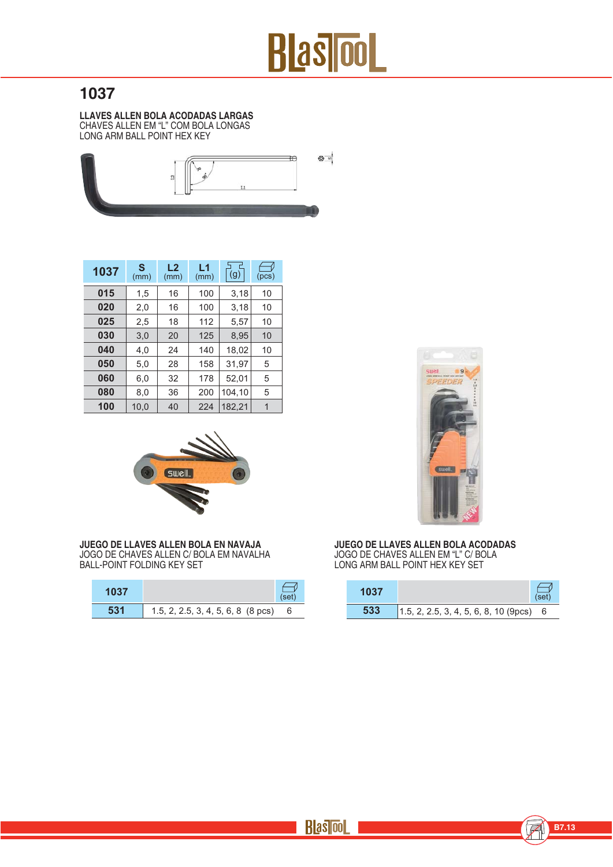

### 1037

LLAVES ALLEN BOLA ACODADAS LARGAS<br>CHAVES ALLEN EM "L" COM BOLA LONGAS<br>LONG ARM BALL POINT HEX KEY



| 1037 | S<br>(mm) | L2<br>(mm) | L1<br>(mm) | (g)    | (pcs) |
|------|-----------|------------|------------|--------|-------|
| 015  | 1,5       | 16         | 100        | 3,18   | 10    |
| 020  | 2,0       | 16         | 100        | 3,18   | 10    |
| 025  | 2,5       | 18         | 112        | 5,57   | 10    |
| 030  | 3,0       | 20         | 125        | 8,95   | 10    |
| 040  | 4,0       | 24         | 140        | 18,02  | 10    |
| 050  | 5,0       | 28         | 158        | 31,97  | 5     |
| 060  | 6,0       | 32         | 178        | 52,01  | 5     |
| 080  | 8,0       | 36         | 200        | 104,10 | 5     |
| 100  | 10.0      | 40         | 224        | 182,21 | 1     |



JUEGO DE LLAVES ALLEN BOLA EN NAVAJA<br>JOGO DE CHAVES ALLEN C/ BOLA EM NAVALHA BALL-POINT FOLDING KEY SET

| 1037 |                                    | (set) |
|------|------------------------------------|-------|
| 531  | 1.5, 2, 2.5, 3, 4, 5, 6, 8 (8 pcs) | - 6   |



**JUEGO DE LLAVES ALLEN BOLA ACODADAS<br>JOGO DE CHAVES ALLEN EM "L" C/ BOLA<br>LONG ARM BALL POINT HEX KEY SET** 

| 1037 |                                           | (set) |
|------|-------------------------------------------|-------|
| 533  | $1.5, 2, 2.5, 3, 4, 5, 6, 8, 10 (9pcs)$ 6 |       |

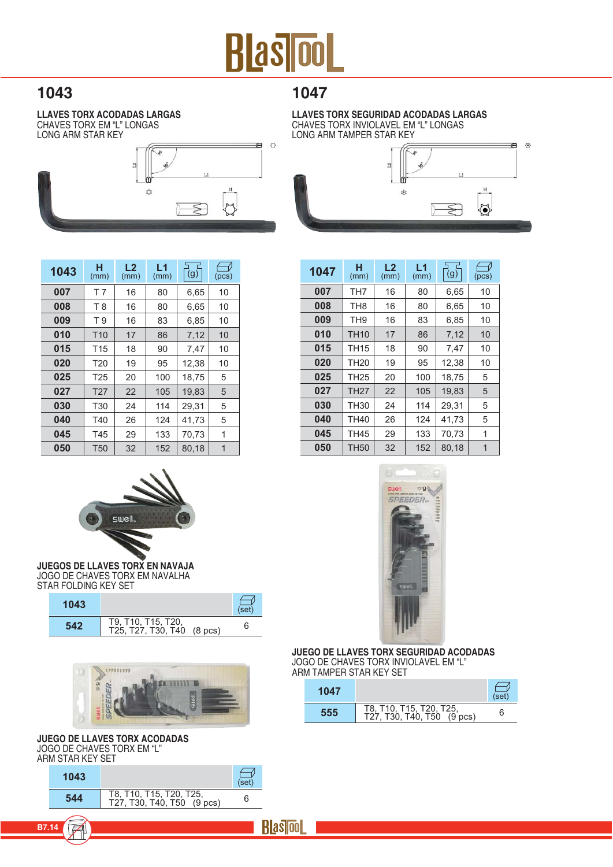## **Blas ool**

### 1043

**LLAVES TORX ACODADAS LARGAS CHAVES TORX EM "L" LONGAS LONG ARM STAR KEY** 



1047

LLAVES TORX SEGURIDAD ACODADAS LARGAS CHAVES TORX INVIOLAVEL EM "L" LONGAS LONG ARM TAMPER STAR KEY



| 1043 | н<br>(mm)       | L <sub>2</sub><br>(mm) | L1<br>(mm) | (g)   | (pcs) |
|------|-----------------|------------------------|------------|-------|-------|
| 007  | T 7             | 16                     | 80         | 6.65  | 10    |
| 008  | T 8             | 16                     | 80         | 6.65  | 10    |
| 009  | T 9             | 16                     | 83         | 6,85  | 10    |
| 010  | T <sub>10</sub> | 17                     | 86         | 7.12  | 10    |
| 015  | T <sub>15</sub> | 18                     | 90         | 7,47  | 10    |
| 020  | T <sub>20</sub> | 19                     | 95         | 12,38 | 10    |
| 025  | T <sub>25</sub> | 20                     | 100        | 18.75 | 5     |
| 027  | T <sub>27</sub> | 22                     | 105        | 19.83 | 5     |
| 030  | <b>T30</b>      | 24                     | 114        | 29.31 | 5     |
| 040  | T40             | 26                     | 124        | 41.73 | 5     |
| 045  | T45             | 29                     | 133        | 70.73 | 1     |
| 050  | T <sub>50</sub> | 32                     | 152        | 80.18 | 1     |





JUEGOS DE LLAVES TORX EN NAVAJA JOGO DE CHAVES TORX EM NAVALHA **STAR FOLDING KEY SET** 

| 1043 |                                                  | (set) |
|------|--------------------------------------------------|-------|
| 542  | T9, T10, T15, T20,<br>T25, T27, T30, T40 (8 pcs) | 6     |



#### **JUEGO DE LLAVES TORX ACODADAS** JOGO DE CHAVES TORX EM "L" ARM STAR KEY SET

T

**B7.14** 





JUEGO DE LLAVES TORX SEGURIDAD ACODADAS JOGO DE CHAVES TORX INVIOLAVEL EM "L" ARM TAMPER STAR KEY SET

| 1047 |                                                       | (set) |
|------|-------------------------------------------------------|-------|
| 555  | T8, T10, T15, T20, T25,<br>T27, T30, T40, T50 (9 pcs) |       |

**Rlasicol**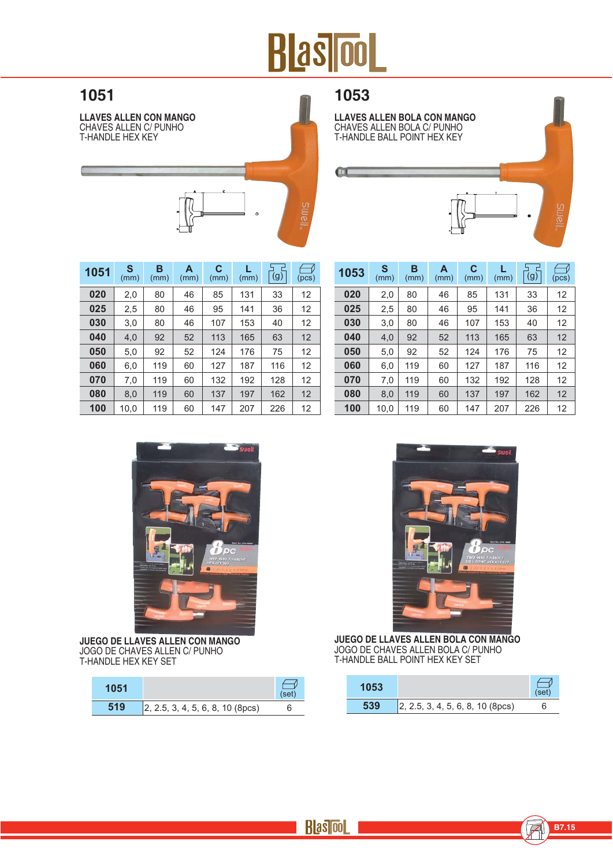# **BlasiooL**

### 1051

**LLAVES ALLEN CON MANGO** CHAVES ALLEN C/ PUNHOT-HANDLE HEX KEY



### 1053

 $\mathbf{u}$ 

LLAVES ALLEN BOLA CON MANGO<br>CHAVES ALLEN BOLA C/ PUNHO<br>T-HANDLE BALL POINT HEX KEY

| 1051 | S<br>(mm) | в<br>(mm) | A<br>(mm) | C<br>(mm) | (mm) | (g) | (pcs) |
|------|-----------|-----------|-----------|-----------|------|-----|-------|
| 020  | 2,0       | 80        | 46        | 85        | 131  | 33  | 12    |
| 025  | 2,5       | 80        | 46        | 95        | 141  | 36  | 12    |
| 030  | 3,0       | 80        | 46        | 107       | 153  | 40  | 12    |
| 040  | 4.0       | 92        | 52        | 113       | 165  | 63  | 12    |
| 050  | 5,0       | 92        | 52        | 124       | 176  | 75  | 12    |
| 060  | 6,0       | 119       | 60        | 127       | 187  | 116 | 12    |
| 070  | 7,0       | 119       | 60        | 132       | 192  | 128 | 12    |
| 080  | 8.0       | 119       | 60        | 137       | 197  | 162 | 12    |
| 100  | 10.0      | 119       | 60        | 147       | 207  | 226 | 12    |

| 1053 | S<br>(mm) | в<br>(mm) | A<br>(mm) | C<br>(mm) | (mm) | г<br>(g) | (pcs) |
|------|-----------|-----------|-----------|-----------|------|----------|-------|
| 020  | 2,0       | 80        | 46        | 85        | 131  | 33       | 12    |
| 025  | 2,5       | 80        | 46        | 95        | 141  | 36       | 12    |
| 030  | 3,0       | 80        | 46        | 107       | 153  | 40       | 12    |
| 040  | 4,0       | 92        | 52        | 113       | 165  | 63       | 12    |
| 050  | 5,0       | 92        | 52        | 124       | 176  | 75       | 12    |
| 060  | 6,0       | 119       | 60        | 127       | 187  | 116      | 12    |
| 070  | 7,0       | 119       | 60        | 132       | 192  | 128      | 12    |
| 080  | 8,0       | 119       | 60        | 137       | 197  | 162      | 12    |
| 100  | 10,0      | 119       | 60        | 147       | 207  | 226      | 12    |



JUEGO DE LLAVES ALLEN CON MANGO JOGO DE CHAVES ALLEN C/ PUNHO<br>T-HANDLE HEX KEY SET

| 1051 |                                  | (set |
|------|----------------------------------|------|
| 519  | 2, 2.5, 3, 4, 5, 6, 8, 10 (8pcs) | Ⴌ    |



JUEGO DE LLAVES ALLEN BOLA CON MANGO<br>JOGO DE CHAVES ALLEN BOLA C/ PUNHO T-HANDLE BALL POINT HEX KEY SET

| 1053 |                                          | (set) |
|------|------------------------------------------|-------|
|      | $\vert$ 2, 2.5, 3, 4, 5, 6, 8, 10 (8pcs) |       |